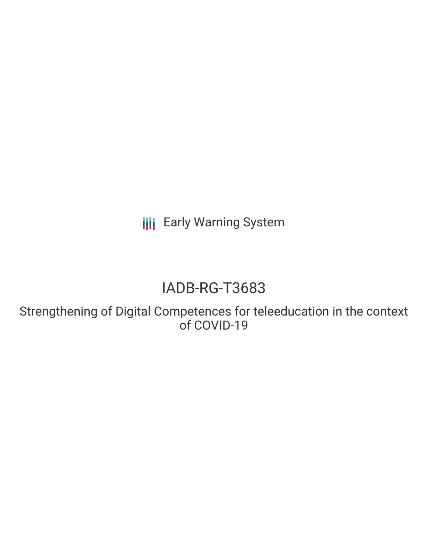**III** Early Warning System

# IADB-RG-T3683

Strengthening of Digital Competences for teleeducation in the context of COVID-19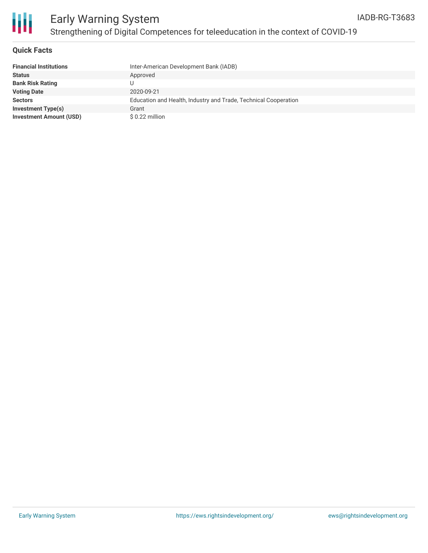

## Early Warning System Strengthening of Digital Competences for teleeducation in the context of COVID-19

#### **Quick Facts**

| <b>Financial Institutions</b>  | Inter-American Development Bank (IADB)                          |
|--------------------------------|-----------------------------------------------------------------|
| <b>Status</b>                  | Approved                                                        |
| <b>Bank Risk Rating</b>        |                                                                 |
| <b>Voting Date</b>             | 2020-09-21                                                      |
| <b>Sectors</b>                 | Education and Health, Industry and Trade, Technical Cooperation |
| <b>Investment Type(s)</b>      | Grant                                                           |
| <b>Investment Amount (USD)</b> | $$0.22$ million                                                 |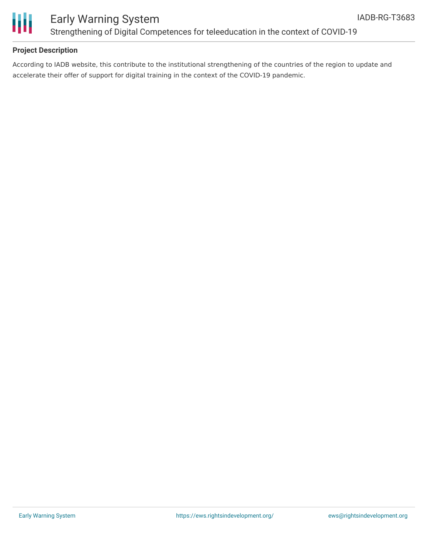

### Early Warning System Strengthening of Digital Competences for teleeducation in the context of COVID-19

### **Project Description**

According to IADB website, this contribute to the institutional strengthening of the countries of the region to update and accelerate their offer of support for digital training in the context of the COVID-19 pandemic.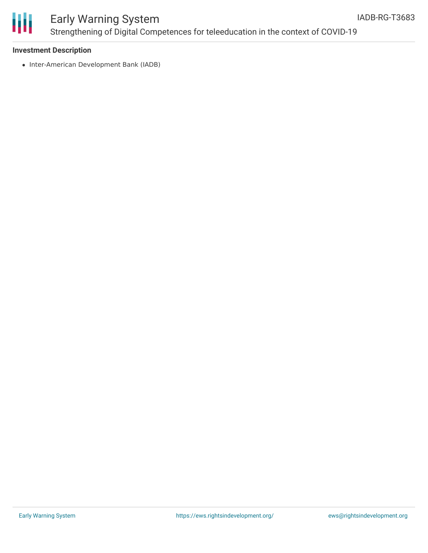

### Early Warning System Strengthening of Digital Competences for teleeducation in the context of COVID-19

#### **Investment Description**

• Inter-American Development Bank (IADB)